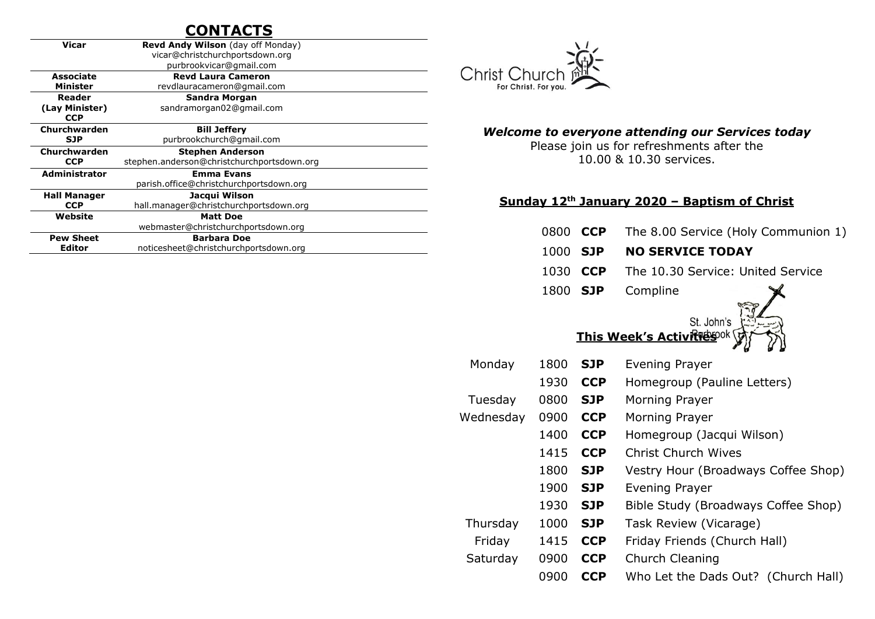## **CONTACTS**

| Vicar                | <b>Revd Andy Wilson</b> (day off Monday)   |  |  |  |
|----------------------|--------------------------------------------|--|--|--|
|                      | vicar@christchurchportsdown.org            |  |  |  |
|                      | purbrookvicar@gmail.com                    |  |  |  |
| <b>Associate</b>     | <b>Revd Laura Cameron</b>                  |  |  |  |
| Minister             | revdlauracameron@gmail.com                 |  |  |  |
| Reader               | Sandra Morgan                              |  |  |  |
| (Lay Minister)       | sandramorgan02@gmail.com                   |  |  |  |
| <b>CCP</b>           |                                            |  |  |  |
| Churchwarden         | <b>Bill Jeffery</b>                        |  |  |  |
| <b>SJP</b>           | purbrookchurch@qmail.com                   |  |  |  |
|                      | <b>Stephen Anderson</b>                    |  |  |  |
| Churchwarden         |                                            |  |  |  |
| <b>CCP</b>           | stephen.anderson@christchurchportsdown.org |  |  |  |
| <b>Administrator</b> | <b>Emma Evans</b>                          |  |  |  |
|                      | parish.office@christchurchportsdown.org    |  |  |  |
| <b>Hall Manager</b>  | Jacqui Wilson                              |  |  |  |
| <b>CCP</b>           | hall.manager@christchurchportsdown.org     |  |  |  |
| Website              | <b>Matt Doe</b>                            |  |  |  |
|                      | webmaster@christchurchportsdown.org        |  |  |  |
| <b>Pew Sheet</b>     | <b>Barbara Doe</b>                         |  |  |  |



#### *Welcome to everyone attending our Services today*

Please join us for refreshments after the 10.00 & 10.30 services.

#### **Sunday 12th January 2020 – Baptism of Christ**

- 0800 **CCP** The 8.00 Service (Holy Communion 1)
- 1000 **SJP NO SERVICE TODAY**
- 1030 **CCP** The 10.30 Service: United Service
- 1800 **SJP** Compline



#### **This Week's Activities**

| Monday    | 1800 | <b>SJP</b> | <b>Evening Prayer</b>               |
|-----------|------|------------|-------------------------------------|
|           | 1930 | <b>CCP</b> | Homegroup (Pauline Letters)         |
| Tuesday   | 0800 | <b>SJP</b> | Morning Prayer                      |
| Wednesday | 0900 | <b>CCP</b> | Morning Prayer                      |
|           | 1400 | <b>CCP</b> | Homegroup (Jacqui Wilson)           |
|           | 1415 | <b>CCP</b> | Christ Church Wives                 |
|           | 1800 | <b>SJP</b> | Vestry Hour (Broadways Coffee Shop) |
|           | 1900 | <b>SJP</b> | Evening Prayer                      |
|           | 1930 | <b>SJP</b> | Bible Study (Broadways Coffee Shop) |
| Thursday  | 1000 | <b>SJP</b> | Task Review (Vicarage)              |
| Friday    | 1415 | <b>CCP</b> | Friday Friends (Church Hall)        |
| Saturday  | 0900 | <b>CCP</b> | Church Cleaning                     |
|           | 0900 | <b>CCP</b> | Who Let the Dads Out? (Church Hall) |
|           |      |            |                                     |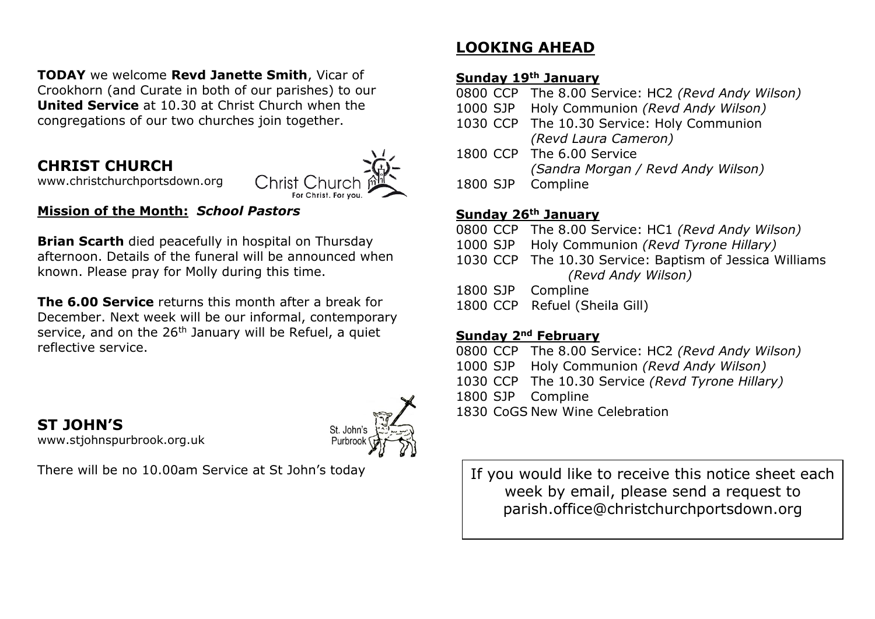**TODAY** we welcome **Revd Janette Smith**, Vicar of Crookhorn (and Curate in both of our parishes) to our **United Service** at 10.30 at Christ Church when the congregations of our two churches join together.

## **CHRIST CHURCH**



[www.christchurchportsdown.org](http://www.christchurchportsdown.org/) 

#### **Mission of the Month:** *School Pastors*

**Brian Scarth** died peacefully in hospital on Thursday afternoon. Details of the funeral will be announced when known. Please pray for Molly during this time.

**The 6.00 Service** returns this month after a break for December. Next week will be our informal, contemporary service, and on the  $26<sup>th</sup>$  January will be Refuel, a quiet reflective service.

**ST JOHN'S** [www.stjohnspurbrook.org.uk](http://www.stjohnspurbrook.org.uk/)



There will be no 10.00am Service at St John's today

# **LOOKING AHEAD**

#### **Sunday 19th January**

0800 CCP The 8.00 Service: HC2 *(Revd Andy Wilson)*

- 1000 SJP Holy Communion *(Revd Andy Wilson)*
- 1030 CCP The 10.30 Service: Holy Communion *(Revd Laura Cameron)*
- 1800 CCP The 6.00 Service *(Sandra Morgan / Revd Andy Wilson)*
- 1800 SJP Compline

#### **Sunday 26th January**

- 0800 CCP The 8.00 Service: HC1 *(Revd Andy Wilson)*
- 1000 SJP Holy Communion *(Revd Tyrone Hillary)*
- 1030 CCP The 10.30 Service: Baptism of Jessica Williams *(Revd Andy Wilson)*
- 1800 SJP Compline
- 1800 CCP Refuel (Sheila Gill)

### **Sunday 2nd February**

0800 CCP The 8.00 Service: HC2 *(Revd Andy Wilson)* 1000 SJP Holy Communion *(Revd Andy Wilson)* 1030 CCP The 10.30 Service *(Revd Tyrone Hillary)* 1800 SJP Compline 1830 CoGS New Wine Celebration

If you would like to receive this notice sheet each week by email, please send a request to parish.office@christchurchportsdown.org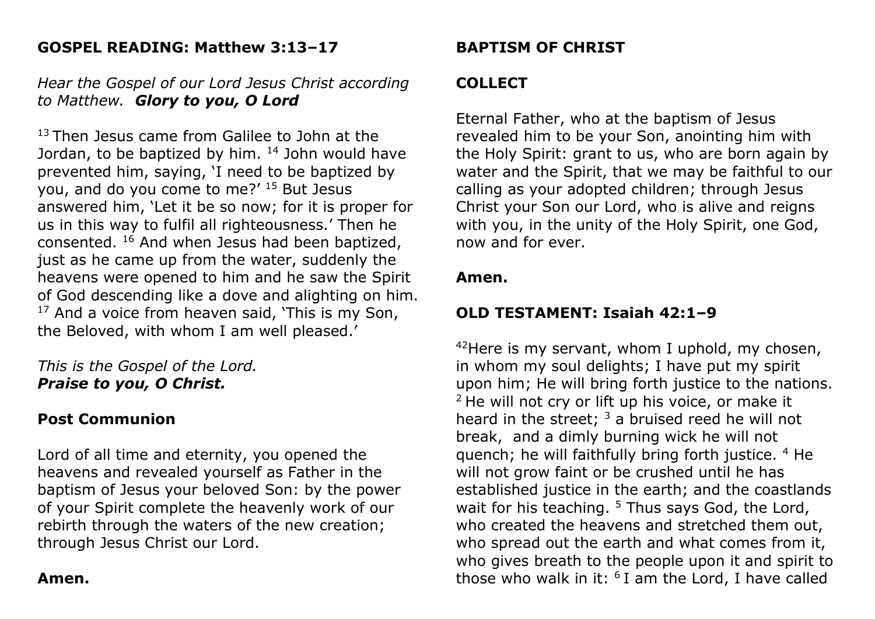## **GOSPEL READING: Matthew 3:13–17**

### *Hear the Gospel of our Lord Jesus Christ according to Matthew. Glory to you, O Lord*

<sup>13</sup> Then Jesus came from Galilee to John at the Jordan, to be baptized by him.  $14$  John would have prevented him, saying, 'I need to be baptized by you, and do you come to me?' <sup>15</sup> But Jesus answered him, 'Let it be so now; for it is proper for us in this way to fulfil all righteousness.' Then he consented. <sup>16</sup> And when Jesus had been baptized, just as he came up from the water, suddenly the heavens were opened to him and he saw the Spirit of God descending like a dove and alighting on him.  $17$  And a voice from heaven said, 'This is my Son, the Beloved, with whom I am well pleased.'

*This is the Gospel of the Lord. Praise to you, O Christ.*

### **Post Communion**

Lord of all time and eternity, you opened the heavens and revealed yourself as Father in the baptism of Jesus your beloved Son: by the power of your Spirit complete the heavenly work of our rebirth through the waters of the new creation; through Jesus Christ our Lord.

## **Amen.**

## **BAPTISM OF CHRIST**

## **COLLECT**

Eternal Father, who at the baptism of Jesus revealed him to be your Son, anointing him with the Holy Spirit: grant to us, who are born again by water and the Spirit, that we may be faithful to our calling as your adopted children; through Jesus Christ your Son our Lord, who is alive and reigns with you, in the unity of the Holy Spirit, one God, now and for ever.

### **Amen.**

# **OLD TESTAMENT: Isaiah 42:1–9**

 $42$ Here is my servant, whom I uphold, my chosen, in whom my soul delights; I have put my spirit upon him; He will bring forth justice to the nations. <sup>2</sup> He will not cry or lift up his voice, or make it heard in the street;  $3$  a bruised reed he will not break, and a dimly burning wick he will not quench; he will faithfully bring forth justice. <sup>4</sup> He will not grow faint or be crushed until he has established justice in the earth; and the coastlands wait for his teaching.  $5$  Thus says God, the Lord, who created the heavens and stretched them out, who spread out the earth and what comes from it, who gives breath to the people upon it and spirit to those who walk in it:  $6$  I am the Lord, I have called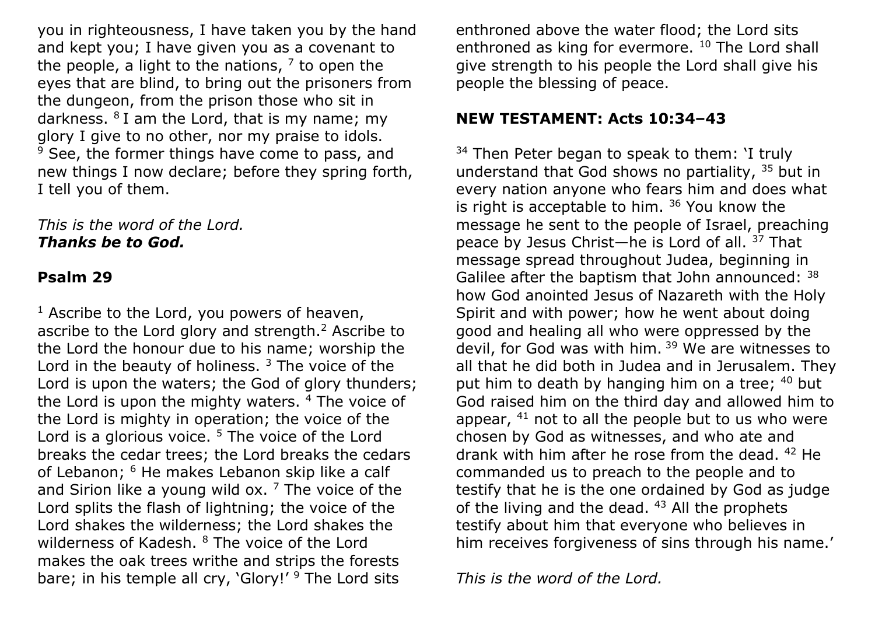you in righteousness, I have taken you by the hand and kept you; I have given you as a covenant to the people, a light to the nations,  $^7$  to open the eyes that are blind, to bring out the prisoners from the dungeon, from the prison those who sit in darkness.  $8$  I am the Lord, that is my name; my glory I give to no other, nor my praise to idols.  $9$  See, the former things have come to pass, and new things I now declare; before they spring forth, I tell you of them.

#### *This is the word of the Lord. Thanks be to God.*

#### **Psalm 29**

 $<sup>1</sup>$  Ascribe to the Lord, you powers of heaven,</sup> ascribe to the Lord glory and strength. $<sup>2</sup>$  Ascribe to</sup> the Lord the honour due to his name; worship the Lord in the beauty of holiness.  $3$  The voice of the Lord is upon the waters; the God of glory thunders; the Lord is upon the mighty waters. <sup>4</sup> The voice of the Lord is mighty in operation; the voice of the Lord is a glorious voice.  $5$  The voice of the Lord breaks the cedar trees; the Lord breaks the cedars of Lebanon; <sup>6</sup> He makes Lebanon skip like a calf and Sirion like a young wild ox.  $<sup>7</sup>$  The voice of the</sup> Lord splits the flash of lightning; the voice of the Lord shakes the wilderness; the Lord shakes the wilderness of Kadesh. <sup>8</sup> The voice of the Lord makes the oak trees writhe and strips the forests bare; in his temple all cry, 'Glory!' <sup>9</sup> The Lord sits

enthroned above the water flood; the Lord sits enthroned as king for evermore. <sup>10</sup> The Lord shall give strength to his people the Lord shall give his people the blessing of peace.

### **NEW TESTAMENT: Acts 10:34–43**

 $34$  Then Peter began to speak to them: I truly understand that God shows no partiality, <sup>35</sup> but in every nation anyone who fears him and does what is right is acceptable to him.  $36$  You know the message he sent to the people of Israel, preaching peace by Jesus Christ—he is Lord of all. <sup>37</sup> That message spread throughout Judea, beginning in Galilee after the baptism that John announced: <sup>38</sup> how God anointed Jesus of Nazareth with the Holy Spirit and with power; how he went about doing good and healing all who were oppressed by the devil, for God was with him. <sup>39</sup> We are witnesses to all that he did both in Judea and in Jerusalem. They put him to death by hanging him on a tree; 40 but God raised him on the third day and allowed him to appear,  $41$  not to all the people but to us who were chosen by God as witnesses, and who ate and drank with him after he rose from the dead. <sup>42</sup> He commanded us to preach to the people and to testify that he is the one ordained by God as judge of the living and the dead.  $43$  All the prophets testify about him that everyone who believes in him receives forgiveness of sins through his name.'

*This is the word of the Lord.*